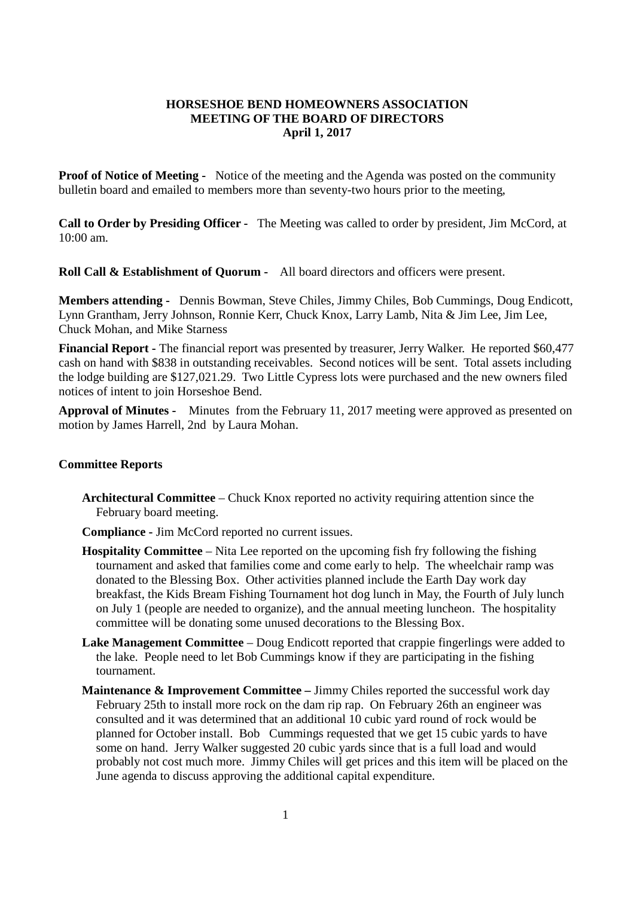## **HORSESHOE BEND HOMEOWNERS ASSOCIATION MEETING OF THE BOARD OF DIRECTORS April 1, 2017**

**Proof of Notice of Meeting -** Notice of the meeting and the Agenda was posted on the community bulletin board and emailed to members more than seventy-two hours prior to the meeting,

**Call to Order by Presiding Officer -** The Meeting was called to order by president, Jim McCord, at  $10:00$  am.

**Roll Call & Establishment of Quorum -** All board directors and officers were present.

**Members attending -** Dennis Bowman, Steve Chiles, Jimmy Chiles, Bob Cummings, Doug Endicott, Lynn Grantham, Jerry Johnson, Ronnie Kerr, Chuck Knox, Larry Lamb, Nita & Jim Lee, Jim Lee, Chuck Mohan, and Mike Starness

**Financial Report -** The financial report was presented by treasurer, Jerry Walker. He reported \$60,477 cash on hand with \$838 in outstanding receivables. Second notices will be sent. Total assets including the lodge building are \$127,021.29. Two Little Cypress lots were purchased and the new owners filed notices of intent to join Horseshoe Bend.

**Approval of Minutes -** Minutes from the February 11, 2017 meeting were approved as presented on motion by James Harrell, 2nd by Laura Mohan.

## **Committee Reports**

**Architectural Committee** – Chuck Knox reported no activity requiring attention since the February board meeting.

**Compliance -** Jim McCord reported no current issues.

- **Hospitality Committee** Nita Lee reported on the upcoming fish fry following the fishing tournament and asked that families come and come early to help. The wheelchair ramp was donated to the Blessing Box. Other activities planned include the Earth Day work day breakfast, the Kids Bream Fishing Tournament hot dog lunch in May, the Fourth of July lunch on July 1 (people are needed to organize), and the annual meeting luncheon. The hospitality committee will be donating some unused decorations to the Blessing Box.
- **Lake Management Committee** Doug Endicott reported that crappie fingerlings were added to the lake. People need to let Bob Cummings know if they are participating in the fishing tournament.
- **Maintenance & Improvement Committee –** Jimmy Chiles reported the successful work day February 25th to install more rock on the dam rip rap. On February 26th an engineer was consulted and it was determined that an additional 10 cubic yard round of rock would be planned for October install. Bob Cummings requested that we get 15 cubic yards to have some on hand. Jerry Walker suggested 20 cubic yards since that is a full load and would probably not cost much more. Jimmy Chiles will get prices and this item will be placed on the June agenda to discuss approving the additional capital expenditure.